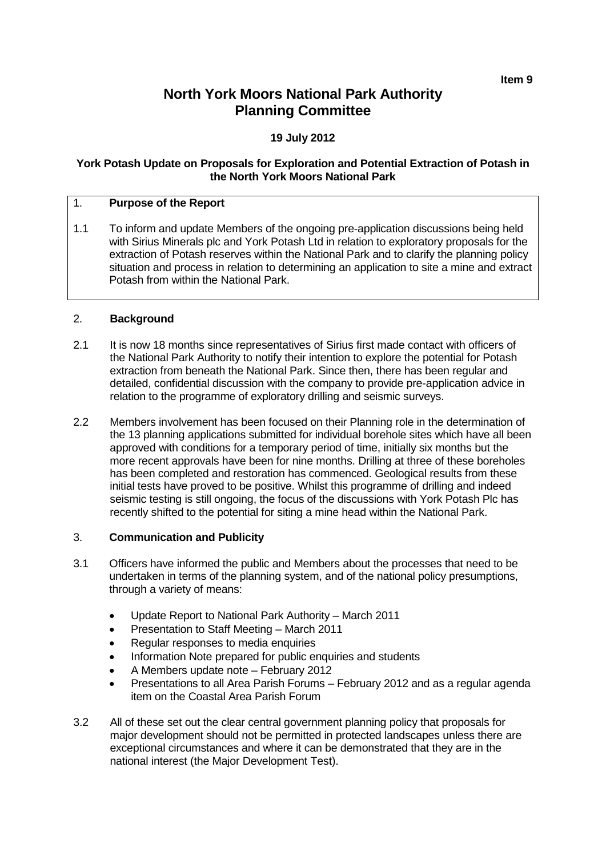# **North York Moors National Park Authority Planning Committee**

## **19 July 2012**

#### **York Potash Update on Proposals for Exploration and Potential Extraction of Potash in the North York Moors National Park**

#### 1. **Purpose of the Report**

1.1 To inform and update Members of the ongoing pre-application discussions being held with Sirius Minerals plc and York Potash Ltd in relation to exploratory proposals for the extraction of Potash reserves within the National Park and to clarify the planning policy situation and process in relation to determining an application to site a mine and extract Potash from within the National Park.

#### 2. **Background**

- 2.1 It is now 18 months since representatives of Sirius first made contact with officers of the National Park Authority to notify their intention to explore the potential for Potash extraction from beneath the National Park. Since then, there has been regular and detailed, confidential discussion with the company to provide pre-application advice in relation to the programme of exploratory drilling and seismic surveys.
- 2.2 Members involvement has been focused on their Planning role in the determination of the 13 planning applications submitted for individual borehole sites which have all been approved with conditions for a temporary period of time, initially six months but the more recent approvals have been for nine months. Drilling at three of these boreholes has been completed and restoration has commenced. Geological results from these initial tests have proved to be positive. Whilst this programme of drilling and indeed seismic testing is still ongoing, the focus of the discussions with York Potash Plc has recently shifted to the potential for siting a mine head within the National Park.

#### 3. **Communication and Publicity**

- 3.1 Officers have informed the public and Members about the processes that need to be undertaken in terms of the planning system, and of the national policy presumptions, through a variety of means:
	- Update Report to National Park Authority March 2011
	- Presentation to Staff Meeting March 2011
	- Regular responses to media enquiries
	- Information Note prepared for public enquiries and students
	- A Members update note February 2012
	- Presentations to all Area Parish Forums February 2012 and as a regular agenda item on the Coastal Area Parish Forum
- 3.2 All of these set out the clear central government planning policy that proposals for major development should not be permitted in protected landscapes unless there are exceptional circumstances and where it can be demonstrated that they are in the national interest (the Major Development Test).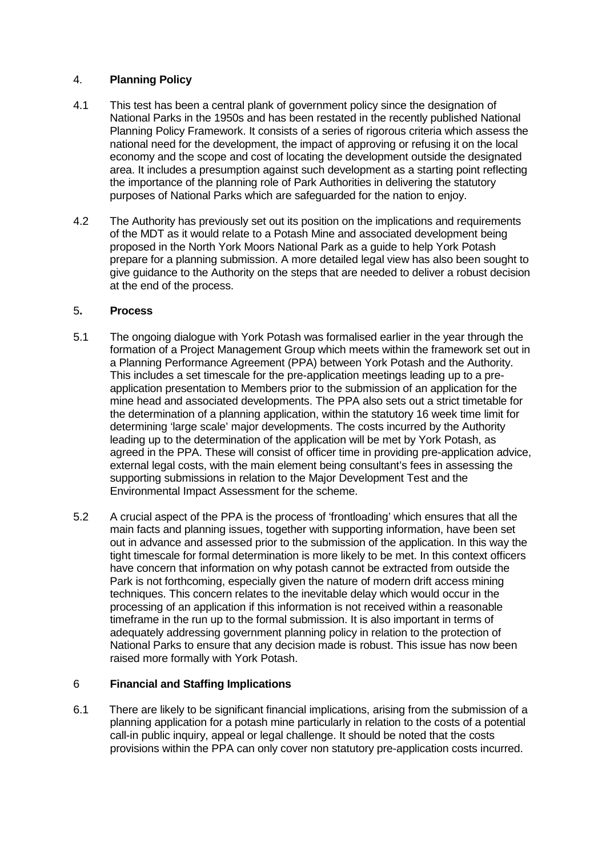## 4. **Planning Policy**

- 4.1 This test has been a central plank of government policy since the designation of National Parks in the 1950s and has been restated in the recently published National Planning Policy Framework. It consists of a series of rigorous criteria which assess the national need for the development, the impact of approving or refusing it on the local economy and the scope and cost of locating the development outside the designated area. It includes a presumption against such development as a starting point reflecting the importance of the planning role of Park Authorities in delivering the statutory purposes of National Parks which are safeguarded for the nation to enjoy.
- 4.2 The Authority has previously set out its position on the implications and requirements of the MDT as it would relate to a Potash Mine and associated development being proposed in the North York Moors National Park as a guide to help York Potash prepare for a planning submission. A more detailed legal view has also been sought to give guidance to the Authority on the steps that are needed to deliver a robust decision at the end of the process.

#### 5**. Process**

- 5.1 The ongoing dialogue with York Potash was formalised earlier in the year through the formation of a Project Management Group which meets within the framework set out in a Planning Performance Agreement (PPA) between York Potash and the Authority. This includes a set timescale for the pre-application meetings leading up to a preapplication presentation to Members prior to the submission of an application for the mine head and associated developments. The PPA also sets out a strict timetable for the determination of a planning application, within the statutory 16 week time limit for determining 'large scale' major developments. The costs incurred by the Authority leading up to the determination of the application will be met by York Potash, as agreed in the PPA. These will consist of officer time in providing pre-application advice, external legal costs, with the main element being consultant's fees in assessing the supporting submissions in relation to the Major Development Test and the Environmental Impact Assessment for the scheme.
- 5.2 A crucial aspect of the PPA is the process of 'frontloading' which ensures that all the main facts and planning issues, together with supporting information, have been set out in advance and assessed prior to the submission of the application. In this way the tight timescale for formal determination is more likely to be met. In this context officers have concern that information on why potash cannot be extracted from outside the Park is not forthcoming, especially given the nature of modern drift access mining techniques. This concern relates to the inevitable delay which would occur in the processing of an application if this information is not received within a reasonable timeframe in the run up to the formal submission. It is also important in terms of adequately addressing government planning policy in relation to the protection of National Parks to ensure that any decision made is robust. This issue has now been raised more formally with York Potash.

## 6 **Financial and Staffing Implications**

6.1 There are likely to be significant financial implications, arising from the submission of a planning application for a potash mine particularly in relation to the costs of a potential call-in public inquiry, appeal or legal challenge. It should be noted that the costs provisions within the PPA can only cover non statutory pre-application costs incurred.